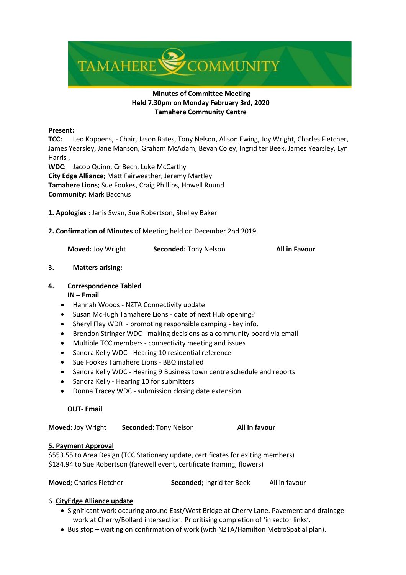

# **Minutes of Committee Meeting Held 7.30pm on Monday February 3rd, 2020 Tamahere Community Centre**

### **Present:**

**TCC:** Leo Koppens, - Chair, Jason Bates, Tony Nelson, Alison Ewing, Joy Wright, Charles Fletcher, James Yearsley, Jane Manson, Graham McAdam, Bevan Coley, Ingrid ter Beek, James Yearsley, Lyn Harris ,

**WDC:** Jacob Quinn, Cr Bech, Luke McCarthy **City Edge Alliance**; Matt Fairweather, Jeremy Martley **Tamahere Lions**; Sue Fookes, Craig Phillips, Howell Round **Community**; Mark Bacchus

**1. Apologies :** Janis Swan, Sue Robertson, Shelley Baker

**2. Confirmation of Minutes** of Meeting held on December 2nd 2019.

**Moved:** Joy Wright **Seconded:** Tony Nelson **All in Favour** 

# **3. Matters arising:**

# **4. Correspondence Tabled**

# **IN – Email**

- Hannah Woods NZTA Connectivity update
- Susan McHugh Tamahere Lions date of next Hub opening?
- Sheryl Flay WDR promoting responsible camping key info.
- Brendon Stringer WDC making decisions as a community board via email
- Multiple TCC members connectivity meeting and issues
- Sandra Kelly WDC Hearing 10 residential reference
- Sue Fookes Tamahere Lions BBQ installed
- Sandra Kelly WDC Hearing 9 Business town centre schedule and reports
- Sandra Kelly Hearing 10 for submitters
- Donna Tracey WDC submission closing date extension

# **OUT- Email**

**Moved:** Joy Wright **Seconded:** Tony Nelson **All in favour**

# **5. Payment Approval**

\$553.55 to Area Design (TCC Stationary update, certificates for exiting members) \$184.94 to Sue Robertson (farewell event, certificate framing, flowers)

**Moved**; Charles Fletcher **Seconded**; Ingrid ter Beek All in favour

# 6. **CityEdge Alliance update**

- Significant work occuring around East/West Bridge at Cherry Lane. Pavement and drainage work at Cherry/Bollard intersection. Prioritising completion of 'in sector links'.
- Bus stop waiting on confirmation of work (with NZTA/Hamilton MetroSpatial plan).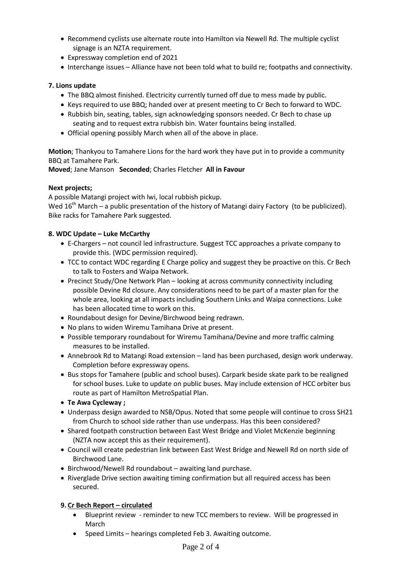- Recommend cyclists use alternate route into Hamilton via Newell Rd. The multiple cyclist signage is an NZTA requirement.
- Expressway completion end of 2021
- Interchange issues Alliance have not been told what to build re; footpaths and connectivity.

## **7. Lions update**

- The BBQ almost finished. Electricity currently turned off due to mess made by public.
- Keys required to use BBQ; handed over at present meeting to Cr Bech to forward to WDC.
- Rubbish bin, seating, tables, sign acknowledging sponsors needed. Cr Bech to chase up seating and to request extra rubbish bin. Water fountains being installed.
- Official opening possibly March when all of the above in place.

**Motion**; Thankyou to Tamahere Lions for the hard work they have put in to provide a community BBQ at Tamahere Park.

**Moved**; Jane Manson **Seconded**; Charles Fletcher **All in Favour**

## **Next projects;**

A possible Matangi project with lwi, local rubbish pickup.

Wed  $16<sup>th</sup>$  March – a public presentation of the history of Matangi dairy Factory (to be publicized). Bike racks for Tamahere Park suggested.

## **8. WDC Update – Luke McCarthy**

- E-Chargers not council led infrastructure. Suggest TCC approaches a private company to provide this. (WDC permission required).
- TCC to contact WDC regarding E Charge policy and suggest they be proactive on this. Cr Bech to talk to Fosters and Waipa Network.
- Precinct Study/One Network Plan looking at across community connectivity including possible Devine Rd closure. Any considerations need to be part of a master plan for the whole area, looking at all impacts including Southern Links and Waipa connections. Luke has been allocated time to work on this.
- Roundabout design for Devine/Birchwood being redrawn.
- No plans to widen Wiremu Tamihana Drive at present.
- Possible temporary roundabout for Wiremu Tamihana/Devine and more traffic calming measures to be installed.
- Annebrook Rd to Matangi Road extension land has been purchased, design work underway. Completion before expressway opens.
- Bus stops for Tamahere (public and school buses). Carpark beside skate park to be realigned for school buses. Luke to update on public buses. May include extension of HCC orbiter bus route as part of Hamilton MetroSpatial Plan.
- **Te Awa Cycleway ;**
- Underpass design awarded to NSB/Opus. Noted that some people will continue to cross SH21 from Church to school side rather than use underpass. Has this been considered?
- Shared footpath construction between East West Bridge and Violet McKenzie beginning (NZTA now accept this as their requirement).
- Council will create pedestrian link between East West Bridge and Newell Rd on north side of Birchwood Lane.
- Birchwood/Newell Rd roundabout awaiting land purchase.
- Riverglade Drive section awaiting timing confirmation but all required access has been secured.

# **9. Cr Bech Report – circulated**

- Blueprint review reminder to new TCC members to review. Will be progressed in March
- Speed Limits hearings completed Feb 3. Awaiting outcome.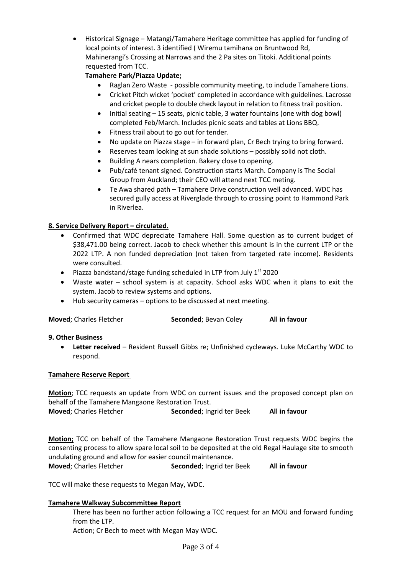• Historical Signage – Matangi/Tamahere Heritage committee has applied for funding of local points of interest. 3 identified ( Wiremu tamihana on Bruntwood Rd, Mahinerangi's Crossing at Narrows and the 2 Pa sites on Titoki. Additional points requested from TCC.

# **Tamahere Park/Piazza Update;**

- Raglan Zero Waste possible community meeting, to include Tamahere Lions.
- Cricket Pitch wicket 'pocket' completed in accordance with guidelines. Lacrosse and cricket people to double check layout in relation to fitness trail position.
- Initial seating 15 seats, picnic table, 3 water fountains (one with dog bowl) completed Feb/March. Includes picnic seats and tables at Lions BBQ.
- Fitness trail about to go out for tender.
- No update on Piazza stage in forward plan, Cr Bech trying to bring forward.
- Reserves team looking at sun shade solutions possibly solid not cloth.
- Building A nears completion. Bakery close to opening.
- Pub/café tenant signed. Construction starts March. Company is The Social Group from Auckland; their CEO will attend next TCC meting.
- Te Awa shared path Tamahere Drive construction well advanced. WDC has secured gully access at Riverglade through to crossing point to Hammond Park in Riverlea.

# **8. Service Delivery Report – circulated.**

- Confirmed that WDC depreciate Tamahere Hall. Some question as to current budget of \$38,471.00 being correct. Jacob to check whether this amount is in the current LTP or the 2022 LTP. A non funded depreciation (not taken from targeted rate income). Residents were consulted.
- Piazza bandstand/stage funding scheduled in LTP from July  $1<sup>st</sup>$  2020
- Waste water school system is at capacity. School asks WDC when it plans to exit the system. Jacob to review systems and options.
- Hub security cameras options to be discussed at next meeting.

| Moved; Charles Fletcher | Seconded; Bevan Coley | All in favour |
|-------------------------|-----------------------|---------------|
|-------------------------|-----------------------|---------------|

### **9. Other Business**

• **Letter received** – Resident Russell Gibbs re; Unfinished cycleways. Luke McCarthy WDC to respond.

### **Tamahere Reserve Report**

**Motion**; TCC requests an update from WDC on current issues and the proposed concept plan on behalf of the Tamahere Mangaone Restoration Trust.

**Moved**; Charles Fletcher **Seconded**; Ingrid ter Beek **All in favour**

**Motion;** TCC on behalf of the Tamahere Mangaone Restoration Trust requests WDC begins the consenting process to allow spare local soil to be deposited at the old Regal Haulage site to smooth undulating ground and allow for easier council maintenance.

**Moved**; Charles Fletcher **Seconded**; Ingrid ter Beek **All in favour**

TCC will make these requests to Megan May, WDC.

### **Tamahere Walkway Subcommittee Report**

There has been no further action following a TCC request for an MOU and forward funding from the LTP.

Action; Cr Bech to meet with Megan May WDC.